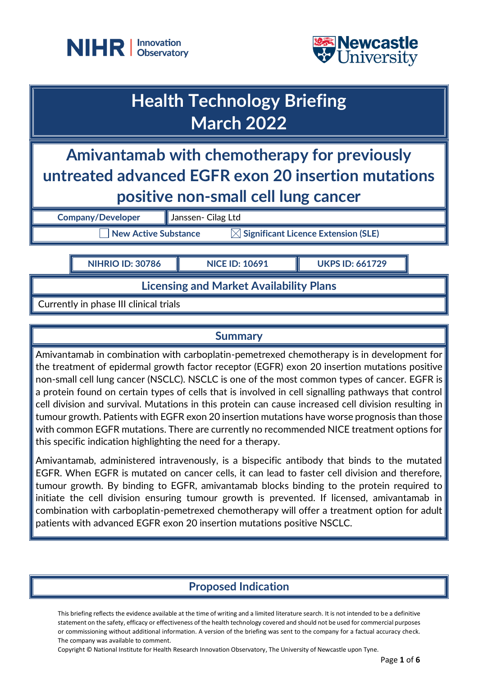



| <b>Health Technology Briefing</b><br><b>March 2022</b>                                                                                     |                       |                        |
|--------------------------------------------------------------------------------------------------------------------------------------------|-----------------------|------------------------|
| Amivantamab with chemotherapy for previously<br>untreated advanced EGFR exon 20 insertion mutations<br>positive non-small cell lung cancer |                       |                        |
| <b>Company/Developer</b>                                                                                                                   | Janssen- Cilag Ltd    |                        |
| $\boxtimes$ Significant Licence Extension (SLE)<br><b>New Active Substance</b>                                                             |                       |                        |
| <b>NIHRIO ID: 30786</b>                                                                                                                    | <b>NICE ID: 10691</b> | <b>UKPS ID: 661729</b> |

**Licensing and Market Availability Plans**

Currently in phase III clinical trials

#### **Summary**

Amivantamab in combination with carboplatin-pemetrexed chemotherapy is in development for the treatment of epidermal growth factor receptor (EGFR) exon 20 insertion mutations positive non-small cell lung cancer (NSCLC). NSCLC is one of the most common types of cancer. EGFR is a protein found on certain types of cells that is involved in cell signalling pathways that control cell division and survival. Mutations in this protein can cause increased cell division resulting in tumour growth. Patients with EGFR exon 20 insertion mutations have worse prognosis than those with common EGFR mutations. There are currently no recommended NICE treatment options for this specific indication highlighting the need for a therapy.

Amivantamab, administered intravenously, is a bispecific antibody that binds to the mutated EGFR. When EGFR is mutated on cancer cells, it can lead to faster cell division and therefore, tumour growth. By binding to EGFR, amivantamab blocks binding to the protein required to initiate the cell division ensuring tumour growth is prevented. If licensed, amivantamab in combination with carboplatin-pemetrexed chemotherapy will offer a treatment option for adult patients with advanced EGFR exon 20 insertion mutations positive NSCLC.

# **Proposed Indication**

This briefing reflects the evidence available at the time of writing and a limited literature search. It is not intended to be a definitive statement on the safety, efficacy or effectiveness of the health technology covered and should not be used for commercial purposes or commissioning without additional information. A version of the briefing was sent to the company for a factual accuracy check. The company was available to comment.

Copyright © National Institute for Health Research Innovation Observatory, The University of Newcastle upon Tyne.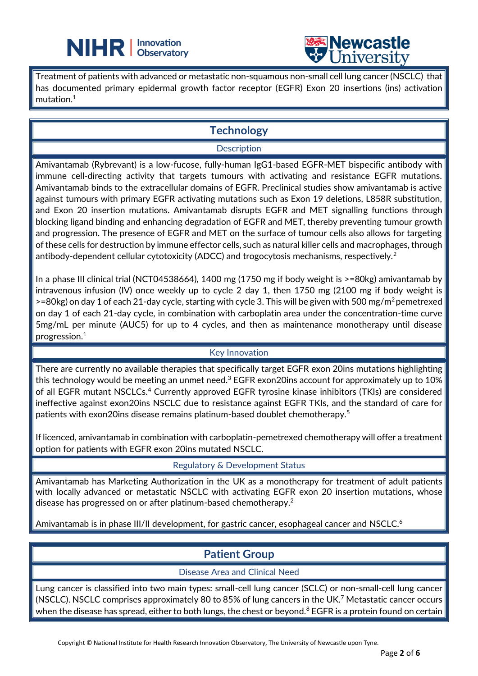



Treatment of patients with advanced or metastatic non-squamous non-small cell lung cancer (NSCLC) that  $\mid$ has documented primary epidermal growth factor receptor (EGFR) Exon 20 insertions (ins) activation mutation. 1

L

## **Technology**

#### **Description**

Amivantamab (Rybrevant) is a low-fucose, fully-human IgG1-based EGFR-MET bispecific antibody with immune cell-directing activity that targets tumours with activating and resistance EGFR mutations. Amivantamab binds to the extracellular domains of EGFR. Preclinical studies show amivantamab is active against tumours with primary EGFR activating mutations such as Exon 19 deletions, L858R substitution, and Exon 20 insertion mutations. Amivantamab disrupts EGFR and MET signalling functions through blocking ligand binding and enhancing degradation of EGFR and MET, thereby preventing tumour growth and progression. The presence of EGFR and MET on the surface of tumour cells also allows for targeting of these cells for destruction by immune effector cells, such as natural killer cells and macrophages, through antibody-dependent cellular cytotoxicity (ADCC) and trogocytosis mechanisms, respectively.<sup>2</sup>

In a phase III clinical trial (NCT04538664), 1400 mg (1750 mg if body weight is >=80kg) amivantamab by intravenous infusion (IV) once weekly up to cycle 2 day 1, then 1750 mg (2100 mg if body weight is >=80kg) on day 1 of each 21-day cycle, starting with cycle 3. This will be given with 500 mg/m<sup>2</sup> pemetrexed on day 1 of each 21-day cycle, in combination with carboplatin area under the concentration-time curve 5mg/mL per minute (AUC5) for up to 4 cycles, and then as maintenance monotherapy until disease progression.<sup>1</sup>

#### Key Innovation

There are currently no available therapies that specifically target EGFR exon 20ins mutations highlighting this technology would be meeting an unmet need.<sup>3</sup> EGFR exon20ins account for approximately up to 10% of all EGFR mutant NSCLCs.<sup>4</sup> Currently approved EGFR tyrosine kinase inhibitors (TKIs) are considered ineffective against exon20ins NSCLC due to resistance against EGFR TKIs, and the standard of care for patients with exon20ins disease remains platinum-based doublet chemotherapy.<sup>5</sup>

If licenced, amivantamab in combination with carboplatin-pemetrexed chemotherapy will offer a treatment option for patients with EGFR exon 20ins mutated NSCLC.

Regulatory & Development Status

Amivantamab has Marketing Authorization in the UK as a monotherapy for treatment of adult patients with locally advanced or metastatic NSCLC with activating EGFR exon 20 insertion mutations, whose disease has progressed on or after platinum-based chemotherapy.<sup>2</sup>

Amivantamab is in phase III/II development, for gastric cancer, esophageal cancer and NSCLC.<sup>6</sup>

## **Patient Group**

#### Disease Area and Clinical Need

Lung cancer is classified into two main types: small-cell lung cancer (SCLC) or non-small-cell lung cancer (NSCLC). NSCLC comprises approximately 80 to 85% of lung cancers in the UK.<sup>7</sup> Metastatic cancer occurs when the disease has spread, either to both lungs, the chest or beyond.<sup>8</sup> EGFR is a protein found on certain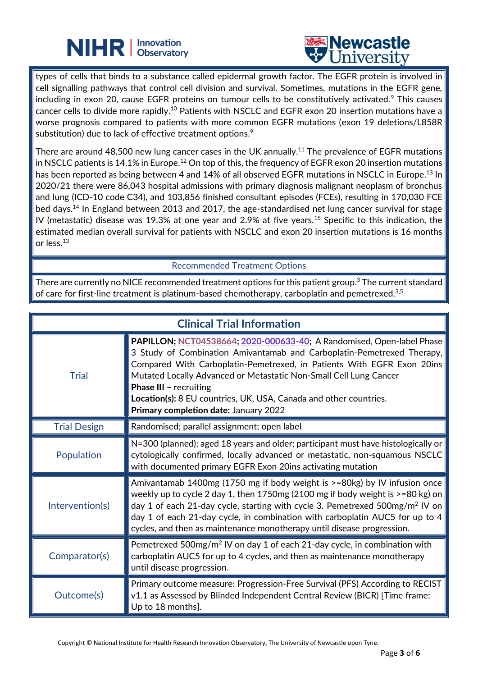



types of cells that binds to a substance called epidermal growth factor. The EGFR protein is involved in cell signalling pathways that control cell division and survival. Sometimes, mutations in the EGFR gene, including in exon 20, cause EGFR proteins on tumour cells to be constitutively activated.<sup>9</sup> This causes cancer cells to divide more rapidly.<sup>10</sup> Patients with NSCLC and EGFR exon 20 insertion mutations have a worse prognosis compared to patients with more common EGFR mutations (exon 19 deletions/L858R substitution) due to lack of effective treatment options. $\mathrm{^9}$ 

L

There are around 48,500 new lung cancer cases in the UK annually. $^{11}$  The prevalence of EGFR mutations in NSCLC patients is 14.1% in Europe.<sup>12</sup> On top of this, the frequency of EGFR exon 20 insertion mutations has been reported as being between 4 and 14% of all observed EGFR mutations in NSCLC in Europe.<sup>13</sup> In 2020/21 there were 86,043 hospital admissions with primary diagnosis malignant neoplasm of bronchus and lung (ICD-10 code C34), and 103,856 finished consultant episodes (FCEs), resulting in 170,030 FCE bed days.<sup>14</sup> In England between 2013 and 2017, the age-standardised net lung cancer survival for stage IV (metastatic) disease was 19.3% at one year and 2.9% at five years.<sup>15</sup> Specific to this indication, the estimated median overall survival for patients with NSCLC and exon 20 insertion mutations is 16 months or less. $^{\rm 13}$ 

Recommended Treatment Options

There are currently no NICE recommended treatment options for this patient group.<sup>3</sup> The current standard of care for first-line treatment is platinum-based chemotherapy, carboplatin and pemetrexed.<sup>3,5</sup>

| <b>Clinical Trial Information</b> |                                                                                                                                                                                                                                                                                                                                                                                                                                               |  |
|-----------------------------------|-----------------------------------------------------------------------------------------------------------------------------------------------------------------------------------------------------------------------------------------------------------------------------------------------------------------------------------------------------------------------------------------------------------------------------------------------|--|
| <b>Trial</b>                      | PAPILLON; NCT04538664; 2020-000633-40; A Randomised, Open-label Phase<br>3 Study of Combination Amivantamab and Carboplatin-Pemetrexed Therapy,<br>Compared With Carboplatin-Pemetrexed, in Patients With EGFR Exon 20ins<br>Mutated Locally Advanced or Metastatic Non-Small Cell Lung Cancer<br><b>Phase III - recruiting</b><br>Location(s): 8 EU countries, UK, USA, Canada and other countries.<br>Primary completion date: January 2022 |  |
| <b>Trial Design</b>               | Randomised; parallel assignment; open label                                                                                                                                                                                                                                                                                                                                                                                                   |  |
| Population                        | N=300 (planned); aged 18 years and older; participant must have histologically or<br>cytologically confirmed, locally advanced or metastatic, non-squamous NSCLC<br>with documented primary EGFR Exon 20ins activating mutation                                                                                                                                                                                                               |  |
| Intervention(s)                   | Amivantamab 1400mg (1750 mg if body weight is >=80kg) by IV infusion once<br>weekly up to cycle 2 day 1, then $1750mg$ (2100 mg if body weight is $\geq$ =80 kg) on<br>day 1 of each 21-day cycle, starting with cycle 3. Pemetrexed $500$ mg/m <sup>2</sup> IV on<br>day 1 of each 21-day cycle, in combination with carboplatin AUC5 for up to 4<br>cycles, and then as maintenance monotherapy until disease progression.                  |  |
| Comparator(s)                     | Pemetrexed 500mg/m <sup>2</sup> IV on day 1 of each 21-day cycle, in combination with<br>carboplatin AUC5 for up to 4 cycles, and then as maintenance monotherapy<br>until disease progression.                                                                                                                                                                                                                                               |  |
| Outcome(s)                        | Primary outcome measure: Progression-Free Survival (PFS) According to RECIST<br>v1.1 as Assessed by Blinded Independent Central Review (BICR) [Time frame:<br>Up to 18 months].                                                                                                                                                                                                                                                               |  |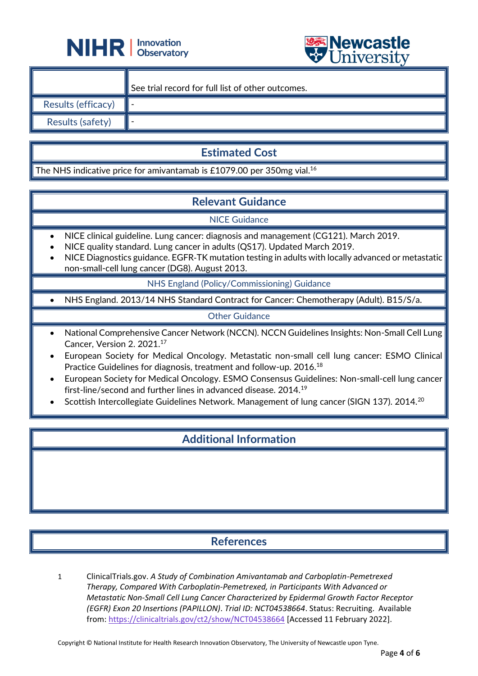



|                           | See trial record for full list of other outcomes. |
|---------------------------|---------------------------------------------------|
| <b>Results (efficacy)</b> |                                                   |
| <b>Results (safety)</b>   |                                                   |

## **Estimated Cost**

The NHS indicative price for amivantamab is £1079.00 per 350mg vial. $^{16}$ 

L

# **Relevant Guidance**

NICE Guidance

- NICE clinical guideline. Lung cancer: diagnosis and management (CG121). March 2019.
- NICE quality standard. Lung cancer in adults (QS17). Updated March 2019.
- NICE Diagnostics guidance. EGFR-TK mutation testing in adults with locally advanced or metastatic non-small-cell lung cancer (DG8). August 2013.

NHS England (Policy/Commissioning) Guidance

• NHS England. 2013/14 NHS Standard Contract for Cancer: Chemotherapy (Adult). B15/S/a.

#### Other Guidance

- National Comprehensive Cancer Network (NCCN). NCCN Guidelines Insights: Non-Small Cell Lung Cancer, Version 2. 2021. 17
- European Society for Medical Oncology. Metastatic non-small cell lung cancer: ESMO Clinical Practice Guidelines for diagnosis, treatment and follow-up. 2016.<sup>18</sup>
- European Society for Medical Oncology. ESMO Consensus Guidelines: Non-small-cell lung cancer first-line/second and further lines in advanced disease. 2014.<sup>19</sup>
- Scottish Intercollegiate Guidelines Network. Management of lung cancer (SIGN 137). 2014.<sup>20</sup>

#### **Additional Information**

## **References**

1 ClinicalTrials.gov. *A Study of Combination Amivantamab and Carboplatin-Pemetrexed Therapy, Compared With Carboplatin-Pemetrexed, in Participants With Advanced or Metastatic Non-Small Cell Lung Cancer Characterized by Epidermal Growth Factor Receptor (EGFR) Exon 20 Insertions (PAPILLON)*. *Trial ID: NCT04538664*. Status: Recruiting. Available from:<https://clinicaltrials.gov/ct2/show/NCT04538664> [Accessed 11 February 2022].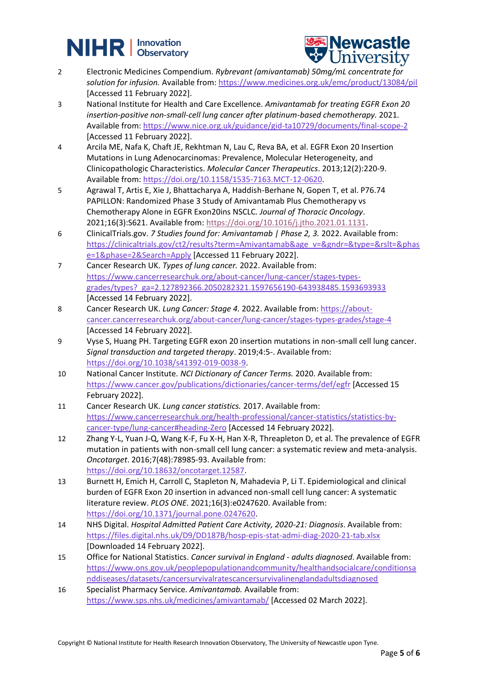# **NIHR** | Innovation



- 2 Electronic Medicines Compendium. *Rybrevant (amivantamab) 50mg/mL concentrate for solution for infusion.* Available from:<https://www.medicines.org.uk/emc/product/13084/pil> [Accessed 11 February 2022].
- 3 National Institute for Health and Care Excellence. *Amivantamab for treating EGFR Exon 20 insertion-positive non-small-cell lung cancer after platinum-based chemotherapy.* 2021. Available from:<https://www.nice.org.uk/guidance/gid-ta10729/documents/final-scope-2> [Accessed 11 February 2022].
- 4 Arcila ME, Nafa K, Chaft JE, Rekhtman N, Lau C, Reva BA, et al. EGFR Exon 20 Insertion Mutations in Lung Adenocarcinomas: Prevalence, Molecular Heterogeneity, and Clinicopathologic Characteristics. *Molecular Cancer Therapeutics*. 2013;12(2):220-9. Available from: [https://doi.org/10.1158/1535-7163.MCT-12-0620.](https://doi.org/10.1158/1535-7163.MCT-12-0620)
- 5 Agrawal T, Artis E, Xie J, Bhattacharya A, Haddish-Berhane N, Gopen T, et al. P76.74 PAPILLON: Randomized Phase 3 Study of Amivantamab Plus Chemotherapy vs Chemotherapy Alone in EGFR Exon20ins NSCLC. *Journal of Thoracic Oncology*. 2021;16(3):S621. Available from: [https://doi.org/10.1016/j.jtho.2021.01.1131.](https://doi.org/10.1016/j.jtho.2021.01.1131)
- 6 ClinicalTrials.gov. *7 Studies found for: Amivantamab | Phase 2, 3.* 2022. Available from: [https://clinicaltrials.gov/ct2/results?term=Amivantamab&age\\_v=&gndr=&type=&rslt=&phas](https://clinicaltrials.gov/ct2/results?term=Amivantamab&age_v=&gndr=&type=&rslt=&phase=1&phase=2&Search=Apply) [e=1&phase=2&Search=Apply](https://clinicaltrials.gov/ct2/results?term=Amivantamab&age_v=&gndr=&type=&rslt=&phase=1&phase=2&Search=Apply) [Accessed 11 February 2022].
- 7 Cancer Research UK. *Types of lung cancer.* 2022. Available from: [https://www.cancerresearchuk.org/about-cancer/lung-cancer/stages-types](https://www.cancerresearchuk.org/about-cancer/lung-cancer/stages-types-grades/types?_ga=2.127892366.2050282321.1597656190-643938485.1593693933)[grades/types?\\_ga=2.127892366.2050282321.1597656190-643938485.1593693933](https://www.cancerresearchuk.org/about-cancer/lung-cancer/stages-types-grades/types?_ga=2.127892366.2050282321.1597656190-643938485.1593693933) [Accessed 14 February 2022].
- 8 Cancer Research UK. *Lung Cancer: Stage 4.* 2022. Available from: [https://about](https://about-cancer.cancerresearchuk.org/about-cancer/lung-cancer/stages-types-grades/stage-4)[cancer.cancerresearchuk.org/about-cancer/lung-cancer/stages-types-grades/stage-4](https://about-cancer.cancerresearchuk.org/about-cancer/lung-cancer/stages-types-grades/stage-4) [Accessed 14 February 2022].
- 9 Vyse S, Huang PH. Targeting EGFR exon 20 insertion mutations in non-small cell lung cancer. *Signal transduction and targeted therapy*. 2019;4:5-. Available from: [https://doi.org/10.1038/s41392-019-0038-9.](https://doi.org/10.1038/s41392-019-0038-9)
- 10 National Cancer Institute. *NCI Dictionary of Cancer Terms.* 2020. Available from: <https://www.cancer.gov/publications/dictionaries/cancer-terms/def/egfr> [Accessed 15 February 2022].
- 11 Cancer Research UK. *Lung cancer statistics.* 2017. Available from: [https://www.cancerresearchuk.org/health-professional/cancer-statistics/statistics-by](https://www.cancerresearchuk.org/health-professional/cancer-statistics/statistics-by-cancer-type/lung-cancer#heading-Zero)[cancer-type/lung-cancer#heading-Zero](https://www.cancerresearchuk.org/health-professional/cancer-statistics/statistics-by-cancer-type/lung-cancer#heading-Zero) [Accessed 14 February 2022].
- 12 Zhang Y-L, Yuan J-Q, Wang K-F, Fu X-H, Han X-R, Threapleton D, et al. The prevalence of EGFR mutation in patients with non-small cell lung cancer: a systematic review and meta-analysis. *Oncotarget*. 2016;7(48):78985-93. Available from: [https://doi.org/10.18632/oncotarget.12587.](https://doi.org/10.18632/oncotarget.12587)
- 13 Burnett H, Emich H, Carroll C, Stapleton N, Mahadevia P, Li T. Epidemiological and clinical burden of EGFR Exon 20 insertion in advanced non-small cell lung cancer: A systematic literature review. *PLOS ONE*. 2021;16(3):e0247620. Available from: [https://doi.org/10.1371/journal.pone.0247620.](https://doi.org/10.1371/journal.pone.0247620)
- 14 NHS Digital. *Hospital Admitted Patient Care Activity, 2020-21: Diagnosis*. Available from: <https://files.digital.nhs.uk/D9/DD187B/hosp-epis-stat-admi-diag-2020-21-tab.xlsx> [Downloaded 14 February 2022].
- 15 Office for National Statistics. *Cancer survival in England - adults diagnosed*. Available from: [https://www.ons.gov.uk/peoplepopulationandcommunity/healthandsocialcare/conditionsa](https://www.ons.gov.uk/peoplepopulationandcommunity/healthandsocialcare/conditionsanddiseases/datasets/cancersurvivalratescancersurvivalinenglandadultsdiagnosed) [nddiseases/datasets/cancersurvivalratescancersurvivalinenglandadultsdiagnosed](https://www.ons.gov.uk/peoplepopulationandcommunity/healthandsocialcare/conditionsanddiseases/datasets/cancersurvivalratescancersurvivalinenglandadultsdiagnosed)
- 16 Specialist Pharmacy Service. *Amivantamab.* Available from: <https://www.sps.nhs.uk/medicines/amivantamab/> [Accessed 02 March 2022].